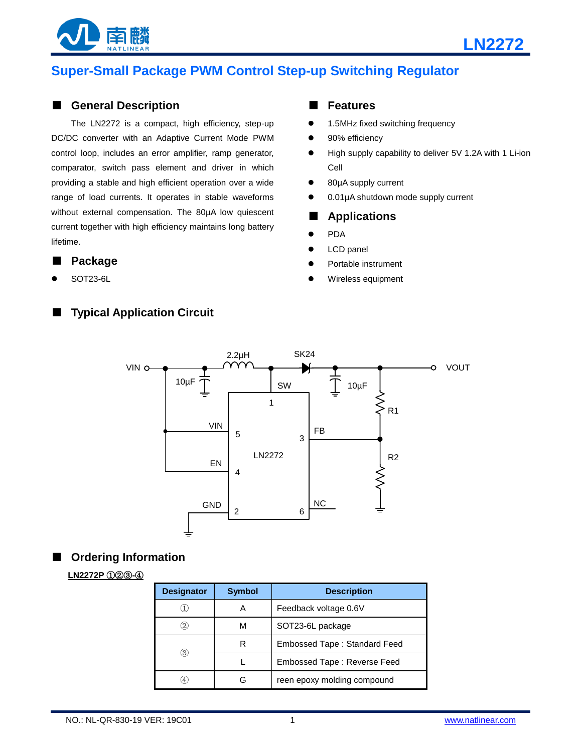



# **Super-Small Package PWM Control Step-up Switching Regulator**

#### ■ **General Description**

The LN2272 is a compact, high efficiency, step-up DC/DC converter with an Adaptive Current Mode PWM control loop, includes an error amplifier, ramp generator, comparator, switch pass element and driver in which providing a stable and high efficient operation over a wide range of load currents. It operates in stable waveforms without external compensation. The 80µA low quiescent current together with high efficiency maintains long battery lifetime.

#### ■ **Package**

SOT23-6L

### ■ **Typical Application Circuit**

#### ■ **Features**

- 1.5MHz fixed switching frequency
- 90% efficiency
- High supply capability to deliver 5V 1.2A with 1 Li-ion Cell
- 80µA supply current
- 0.01µA shutdown mode supply current

#### ■ **Applications**

- PDA
- LCD panel
- Portable instrument
- Wireless equipment



#### ■ **Ordering Information**

#### **LN2272P** ①②③**-**④

| <b>Designator</b> | <b>Symbol</b> | <b>Description</b>           |  |  |
|-------------------|---------------|------------------------------|--|--|
|                   | А             | Feedback voltage 0.6V        |  |  |
| $\left( 2\right)$ | м             | SOT23-6L package             |  |  |
| 3)                | R             | Embossed Tape: Standard Feed |  |  |
|                   |               | Embossed Tape: Reverse Feed  |  |  |
| 4                 | Բ             | reen epoxy molding compound  |  |  |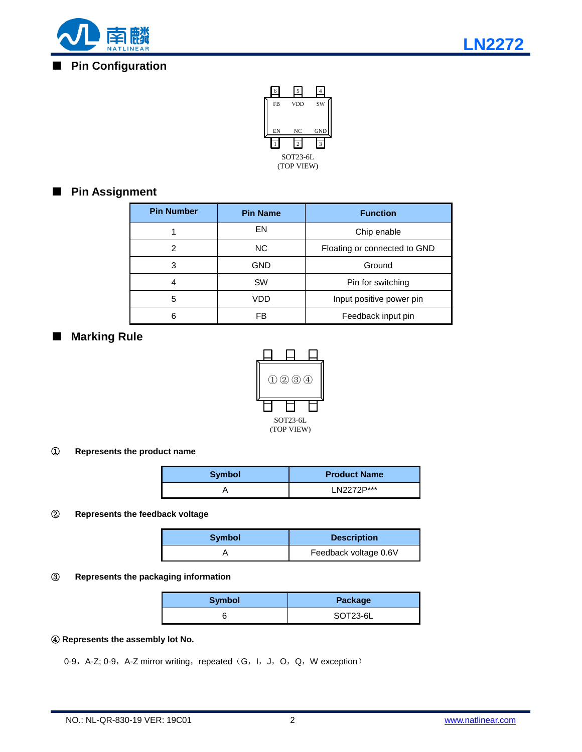

### ■ **Pin Configuration**



## ■ **Pin Assignment**

| <b>Pin Number</b> | <b>Pin Name</b> | <b>Function</b>              |  |
|-------------------|-----------------|------------------------------|--|
|                   | EN              | Chip enable                  |  |
| 2                 | NC.             | Floating or connected to GND |  |
| 3                 | <b>GND</b>      | Ground                       |  |
| 4                 | <b>SW</b>       | Pin for switching            |  |
| 5                 | VDD             | Input positive power pin     |  |
| 6                 | FB              | Feedback input pin           |  |

### ■ **Marking Rule**



#### ① **Represents the product name**

| <b>Symbol</b> | <b>Product Name</b> |
|---------------|---------------------|
|               | I N2272P***         |

#### ② **Represents the feedback voltage**

| <b>Symbol</b> | <b>Description</b>    |  |  |
|---------------|-----------------------|--|--|
|               | Feedback voltage 0.6V |  |  |

#### ③ **Represents the packaging information**

| <b>Symbol</b> | Package  |
|---------------|----------|
|               | SOT23-6L |

#### ④ **Represents the assembly lot No.**

0-9, A-Z; 0-9, A-Z mirror writing, repeated (G, I, J, O, Q, W exception)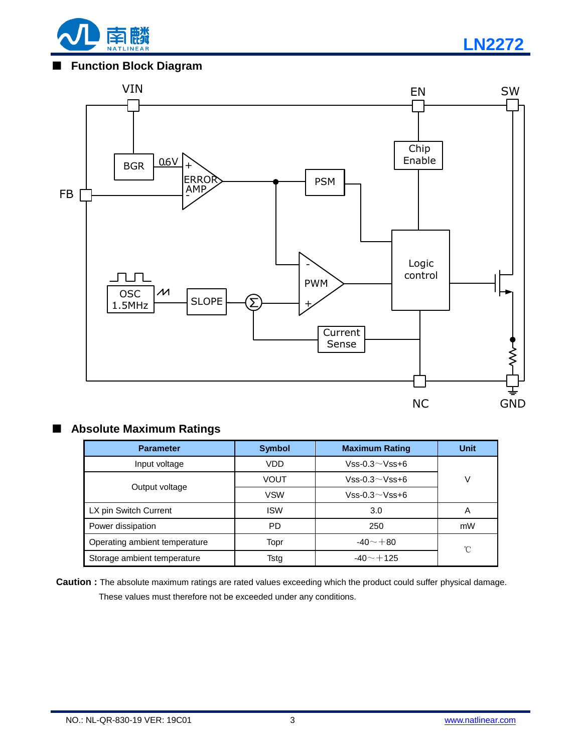

**LN2272**

### ■ **Function Block Diagram**



# ■ **Absolute Maximum Ratings**

| <b>Parameter</b>              | <b>Symbol</b> | <b>Maximum Rating</b> | <b>Unit</b> |
|-------------------------------|---------------|-----------------------|-------------|
| Input voltage                 | VDD           | $Vss-0.3\sim Vss+6$   |             |
|                               | <b>VOUT</b>   | $Vss-0.3\sim Vss+6$   | V           |
| Output voltage                | <b>VSW</b>    | $Vss-0.3\sim Vss+6$   |             |
| LX pin Switch Current         | <b>ISW</b>    | 3.0                   | Α           |
| Power dissipation             | <b>PD</b>     | 250                   | mW          |
| Operating ambient temperature | Topr          | $-40 - +80$           | °C          |
| Storage ambient temperature   | Tstg          | $-40 - +125$          |             |

**Caution :** The absolute maximum ratings are rated values exceeding which the product could suffer physical damage. These values must therefore not be exceeded under any conditions.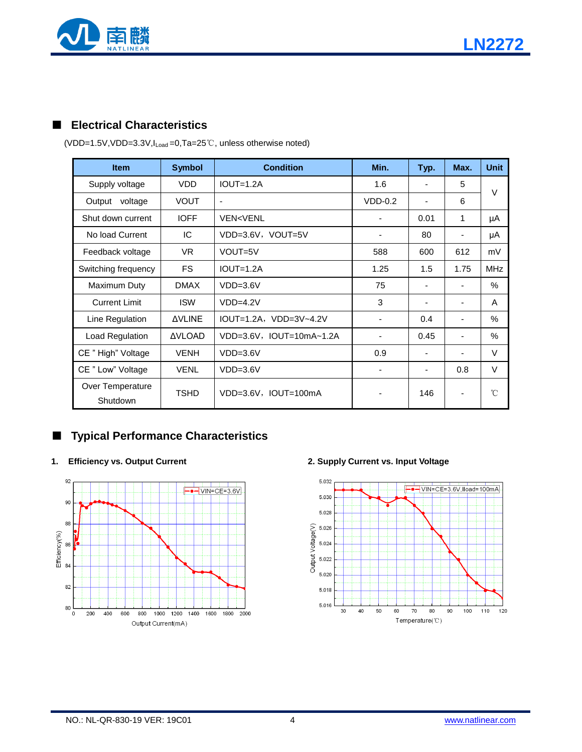

## ■ **Electrical Characteristics**

| <b>Item</b>                  | <b>Symbol</b> | <b>Condition</b>               | Min.                     | Typ.                     | Max.                     | <b>Unit</b>   |
|------------------------------|---------------|--------------------------------|--------------------------|--------------------------|--------------------------|---------------|
| Supply voltage               | <b>VDD</b>    | $IOUT=1.2A$                    | 1.6                      |                          | 5                        | $\vee$        |
| voltage<br>Output            | <b>VOUT</b>   | $\blacksquare$                 | $VDD-0.2$                |                          | 6                        |               |
| Shut down current            | <b>IOFF</b>   | <b>VEN<venl< b=""></venl<></b> |                          | 0.01                     | 1                        | μA            |
| No load Current              | IC            | VDD=3.6V, VOUT=5V              |                          | 80                       |                          | μA            |
| Feedback voltage             | VR.           | VOUT=5V                        | 588                      | 600                      | 612                      | mV            |
| Switching frequency          | <b>FS</b>     | $IOUT=1.2A$                    | 1.25                     | 1.5                      | 1.75                     | <b>MHz</b>    |
| Maximum Duty                 | <b>DMAX</b>   | $VDD=3.6V$                     | 75                       | $\overline{\phantom{a}}$ | $\blacksquare$           | $\%$          |
| <b>Current Limit</b>         | <b>ISW</b>    | $VDD=4.2V$                     | 3                        |                          |                          | A             |
| Line Regulation              | <b>AVLINE</b> | $IOUT=1.2A, VDD=3V-4.2V$       | $\overline{\phantom{a}}$ | 0.4                      | $\overline{\phantom{a}}$ | $\%$          |
| Load Regulation              | <b>AVLOAD</b> | $VDD=3.6V$ , $IOUT=10mA-1.2A$  |                          | 0.45                     |                          | $\frac{0}{0}$ |
| CE "High" Voltage            | <b>VENH</b>   | $VDD=3.6V$                     | 0.9                      | $\overline{\phantom{a}}$ | -                        | V             |
| CE " Low" Voltage            | <b>VENL</b>   | $VDD=3.6V$                     |                          |                          | 0.8                      | $\vee$        |
| Over Temperature<br>Shutdown | <b>TSHD</b>   | $VDD=3.6V$ , $IOUT=100mA$      |                          | 146                      |                          | 'n            |

(VDD=1.5V,VDD=3.3V,ILoad =0,Ta=25℃, unless otherwise noted)

## ■ **Typical Performance Characteristics**



#### **1. Efficiency vs. Output Current 2. Supply Current vs. Input Voltage**

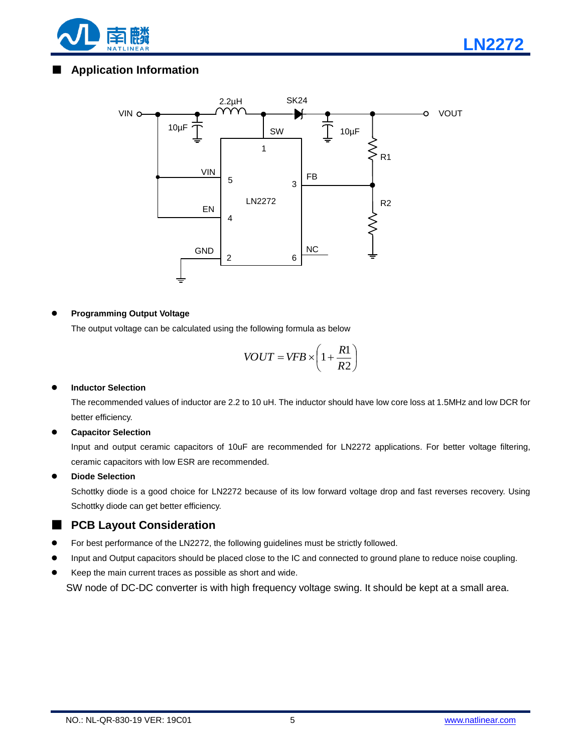



#### **Programming Output Voltage**

The output voltage can be calculated using the following formula as below

$$
VOUT = VFB \times \left(1 + \frac{R1}{R2}\right)
$$

#### **Inductor Selection**

The recommended values of inductor are 2.2 to 10 uH. The inductor should have low core loss at 1.5MHz and low DCR for better efficiency.

#### **Capacitor Selection**

Input and output ceramic capacitors of 10uF are recommended for LN2272 applications. For better voltage filtering, ceramic capacitors with low ESR are recommended.

#### **Diode Selection**

Schottky diode is a good choice for LN2272 because of its low forward voltage drop and fast reverses recovery. Using Schottky diode can get better efficiency.

### ■ **PCB Layout Consideration**

- For best performance of the LN2272, the following guidelines must be strictly followed.
- Input and Output capacitors should be placed close to the IC and connected to ground plane to reduce noise coupling.
- Keep the main current traces as possible as short and wide.

SW node of DC-DC converter is with high frequency voltage swing. It should be kept at a small area.